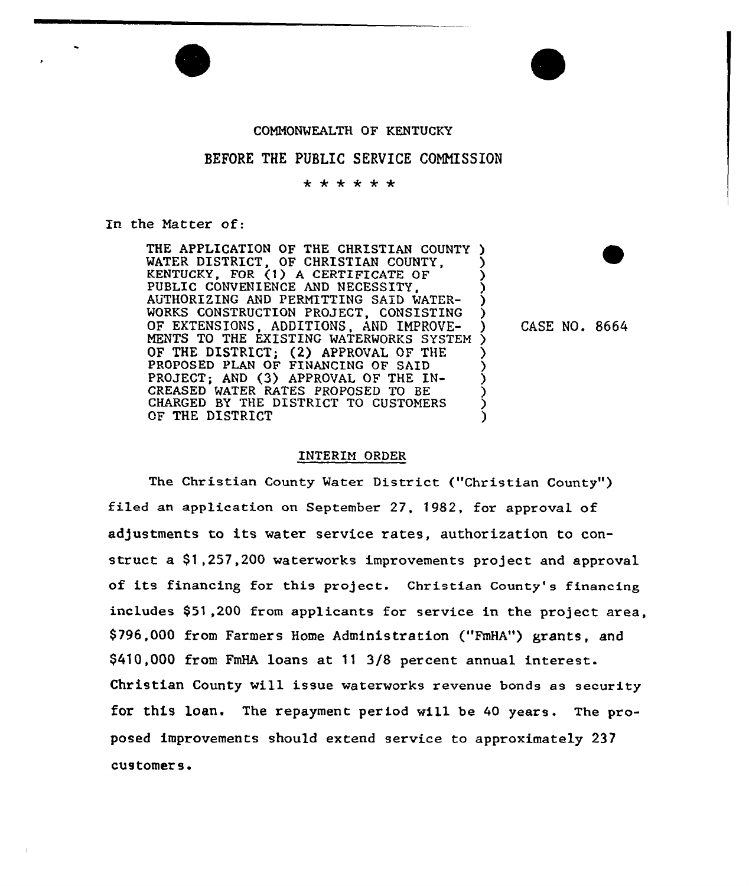## CONNONWEALTH OF KENTUCKY

## BEFORE THE PUBLIC SERVICE CONNISSION

\* \* \* \* \* \*

In the Natter of:

THE APPLICATION OF THE CHRISTIAN COUNTY ) WATER DISTRICT, OF CHRISTIAN COUNTY, KENTUCKY, FOR (1) A CERTIFICATE OF PUBLIC CONVENIENCE AND NECESSITY, AUTHORIZING AND PERMITTING SAID WATER-WORKS CONSTRUCTION PROJECT, CONSISTING OF EXTENSIONS, ADDITIONS, AND INPROVE-NENTS TO THE EXISTING WATERWORKS SYSTEM ) OF THE DISTRICT; (2) APPROVAL OF THE PROPOSED PLAN OF FINANCING OF SAID PROJECT; AND (3) APPROVAL OF THE IN-CREASED MATER RATES PROPOSED TO BE CHARGED BY THE DISTRICT TO CUSTOMERS OF THE DISTRICT  $\begin{matrix} \frac{1}{2} & \frac{1}{2} & \frac{1}{2} & \frac{1}{2} & \frac{1}{2} & \frac{1}{2} & \frac{1}{2} & \frac{1}{2} & \frac{1}{2} & \frac{1}{2} & \frac{1}{2} & \frac{1}{2} & \frac{1}{2} & \frac{1}{2} & \frac{1}{2} & \frac{1}{2} & \frac{1}{2} & \frac{1}{2} & \frac{1}{2} & \frac{1}{2} & \frac{1}{2} & \frac{1}{2} & \frac{1}{2} & \frac{1}{2} & \frac{1}{2} & \frac{1}{2} & \frac{1}{2}$ ) ) (<br>) ) ) ) ) ) ) )

) CASE NO. 8664

## INTERIM ORDER

The Christian County Water District ("Christian County") filed an application on September 27, 1982, for approval of adjustments to its water service rates, authorization to construct a \$1,257,200 waterworks improvements project and approval of its financing for this project. Christian County's financing includes \$51,200 from applicants for sexvice in the project area, \$ 796,000 from Farmers Home Administration ("FmHA"} grants, and \$410,000 from FmHA loans at 11 3/8 percent annual interest. Christian County will issue waterworks revenue bonds as security for this loan. The repayment period will be 40 years. The proposed improvements should extend service to approximately 237 customers.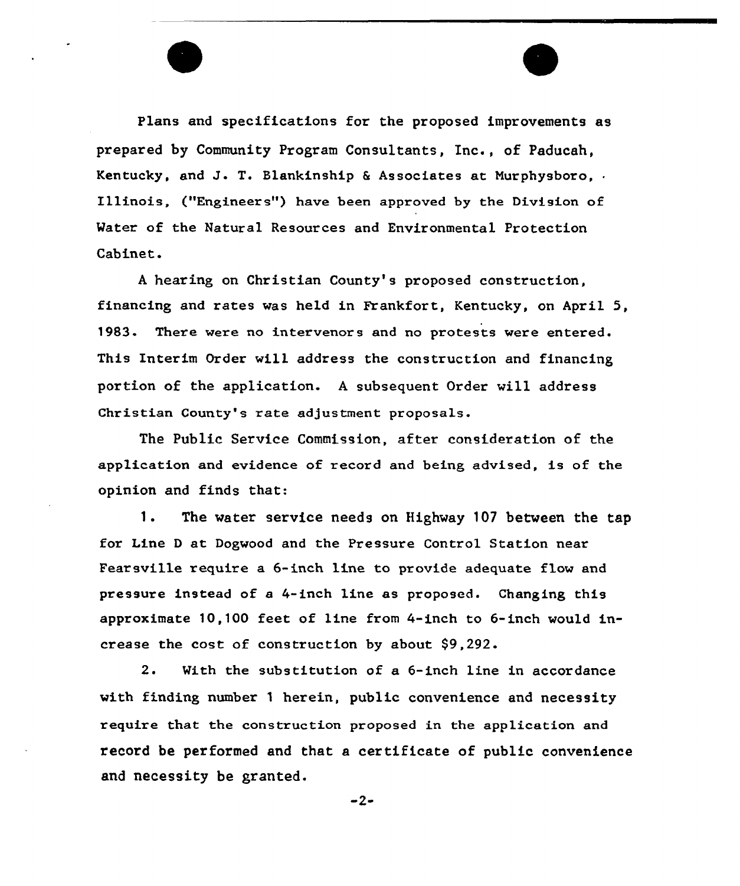Plans and specifications for the proposed improvements as prepared by Community Program Consultants, Inc., of Paducah, Kentucky, and J. T. Blankinship & Associates at Murphysboro,  $\cdot$ Illinois, ("Engineer s") have been approved by the Division of Water of the Natural Resources and Environmental Protection Cabinet.

<sup>A</sup> hearing on Christian County's proposed construction, financing and rates was held in Frankfort, Kentucky, on April 5, 1983. There were no intervenors and no protests were entered. This Interim Order will address the construction and financing portion of the application. <sup>A</sup> subsequent Order will address Christian County's rate adjustment proposals.

The Public Service Commission, after consideration of the application and evidence of xecord and being advised, Is of the opinion and finds that:

1. The water service needs on Highway <sup>107</sup> between the tap for Line D at Dogwood and the Pressure Control Station near Fearsville require a 6-inch line to provide adequate flow and pressure instead of a 4-inch line as proposed. Changing this approximate 10,100 feet of line from 4-inch to 6-inch would increase the cost of construction by about \$9,292.

2. With the substitution of a 6-inch line in accordance with finding number <sup>1</sup> herein, public convenience and necessity require that the construction proposed in the application and record be performed and that a certificate of public convenience and necessity be granted.

 $-2-$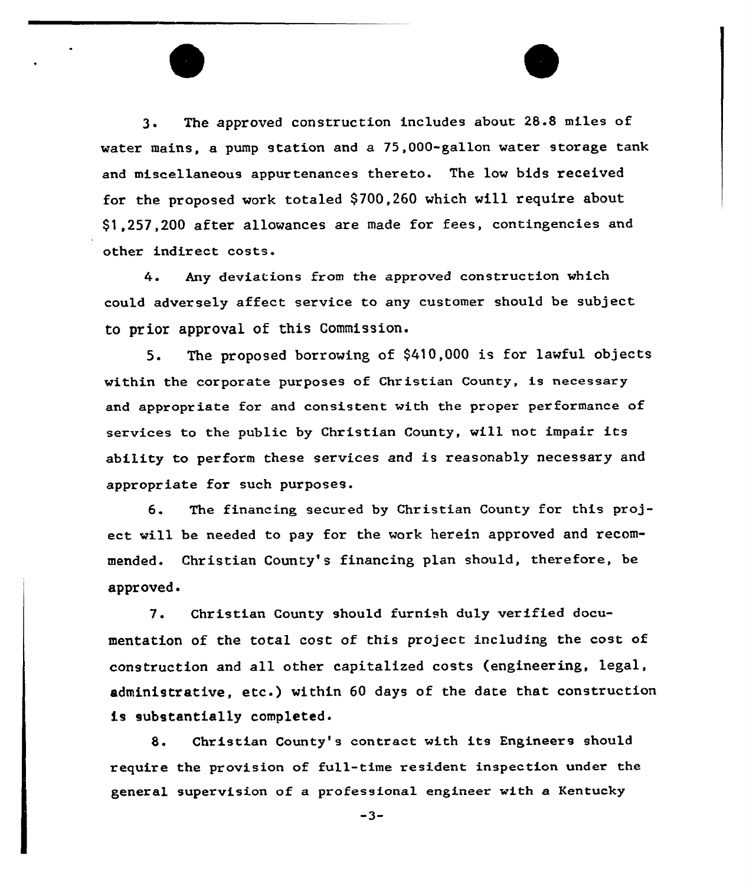3. The approved construction includes about 28.8 miles of water mains, a pump station and a 75,000-gallon water storage tank and miscellaneous appurtenances thereto. The low bids received for the proposed work totaled \$700,260 which will require about \$ 1,257,200 after allowances are made for fees, contingencies and other indirect costs.

4 Any deviations from the approved construction which could adversely affect service to any customer should be subject to prior approval of this Commission.

5. The proposed borrowing of \$410,000 is for lawful objects within the corporate purposes of Christian County, is necessary and appropriate for and consistent with the proper performance of services to the public by Christian County, will not impair its ability to perform these services and is reasonably necessary and appropriate for such purposes.

6. The financing secured by Christian County for this project will be needed to pay for the work herein approved and recommended. Christian County's financing plan should, therefore, be approved

7. Christian County should furnish duly verified documentation of the total cost of this project including the cost of construction and all other capitalized costs (engineering, legal, administrative, etc.) within <sup>60</sup> days of the date that construction is substantially completed.

8. Christian County's contract with its Engineers should require the provision of full-time resident inspection under the general supervision of a professional engineer with a Kentucky

 $-3-$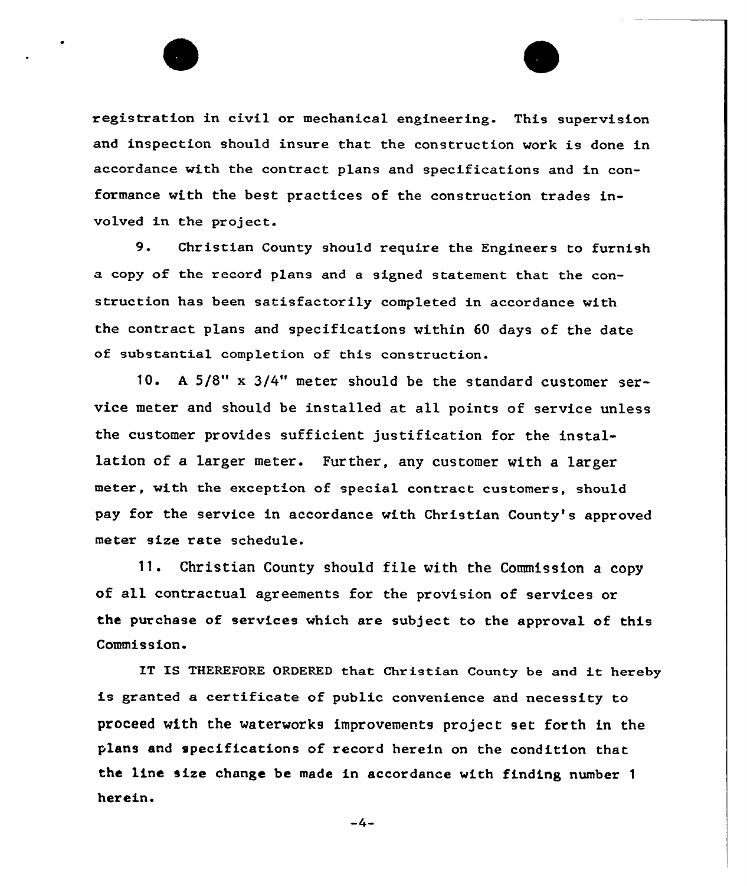registration in civil or mechanical engineering. This supervision and inspection should insure that the construction work is done in accordance with the contract plans and specifications and in conformance with the best practices of the construction trades involved in the project.

9. Christian County should require the Engineers to furnish a copy of the record plans and a signed statement that the construction has been satisfactorily completed in accordance with the contract plans and specifications within 60 days of the date of substantial completion of this construction.

10. A 5/8" x 3/4" meter should be the standard customer service meter and should be installed at all points of service unless the customer provides sufficient justification for the installation of a larger meter. Further, any customer with a larger meter, with the exception of special contract customers, should pay for the service in accordance with Christian County's approved meter size rate schedule.

 $11.$ Christian County should file with the Commission a copy of all contractual agreements for the provision of services or the purchase of services which are subject to the approval of this Commission.

IT IS THEREFORE ORDERED that Christian County be and it hereby is granted a certificate of public convenience and necessity to proceed with the waterworks improvements project set forth in the plans and specifications of record herein an the condition that the line size change be made in accordance with finding number <sup>1</sup> herein.

 $-4-$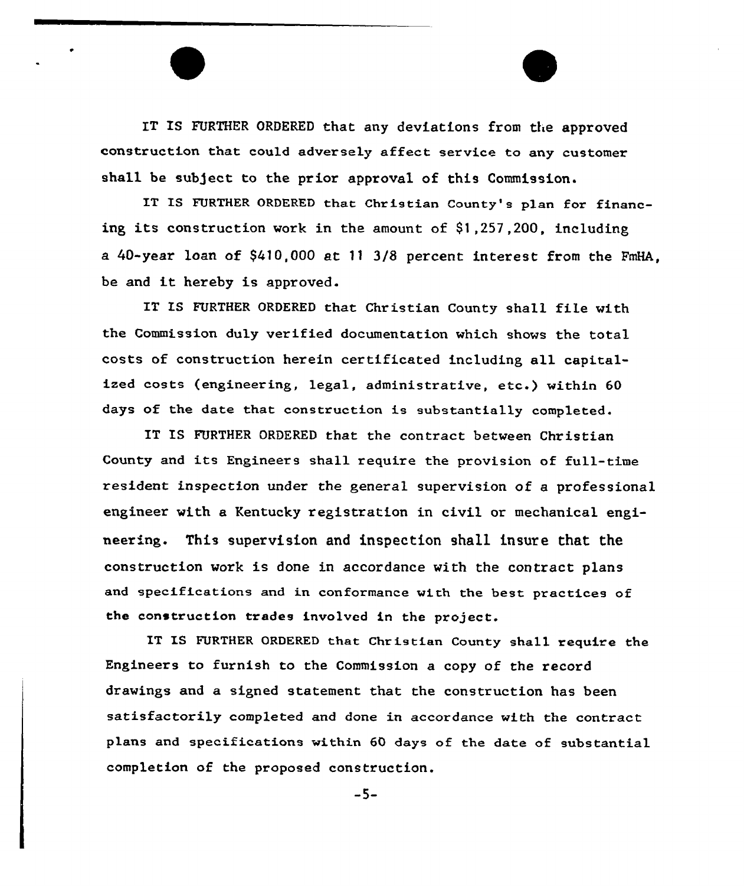IT IS FURTHER ORDERED that any deviations from the approved construction that could adversely affect service to any customer shall be subject to the prior approval of this Commission.

IT IS FURTHER ORDERED that Christian County's plan for financing its construction work in the amount of 91,257,200, including a 40-year loan of \$410,000 at 11 3l8 percent interest from the FmHA, be and it hereby is approved.

IT IS FURTHER ORDERED that Christian County shall file with the Commission duly verified documentation which shows the total costs of construction herein certificated including all capitalized costs (engineering, legal, administrative, etc.) within <sup>60</sup> days of the date that construction is substantially completed.

IT IS FURTHER ORDERED that the contract between Christian County and its Engineers shall require the provision of full-time resident inspection under the general supervision of a professional engineer with a Kentucky registration in civil or mechanical engineering. This supervision and inspection shall insure that the construction work is done in accordance with the contract plans and specifications and in conformance with the best practices of the construction trades involved in the project.

IT IS FURTHER ORDERED that Christian County shall require the Engineers to furnish to the Commission a copy of the record drawings and a signed statement that the construction has been satisfactorily completed and done in accordance with the contract plans and specifications within 60 days of the date of substantial completion of the proposed construction.

-5-